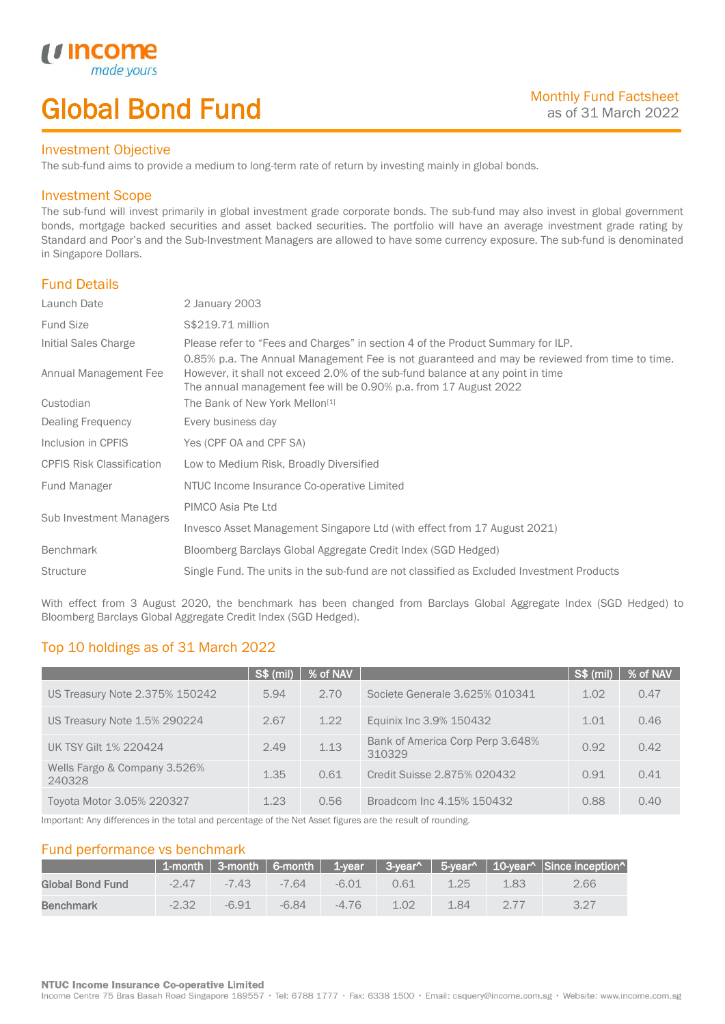# Global Bond Fund

### Investment Objective

made yo

*u* incom

I

The sub-fund aims to provide a medium to long-term rate of return by investing mainly in global bonds.

## Investment Scope

The sub-fund will invest primarily in global investment grade corporate bonds. The sub-fund may also invest in global government bonds, mortgage backed securities and asset backed securities. The portfolio will have an average investment grade rating by Standard and Poor's and the Sub-Investment Managers are allowed to have some currency exposure. The sub-fund is denominated in Singapore Dollars.

## Fund Details

| S\$219.71 million<br><b>Fund Size</b><br>Initial Sales Charge<br>Please refer to "Fees and Charges" in section 4 of the Product Summary for ILP.<br>0.85% p.a. The Annual Management Fee is not guaranteed and may be reviewed from time to time.<br>Annual Management Fee<br>However, it shall not exceed 2.0% of the sub-fund balance at any point in time<br>The annual management fee will be 0.90% p.a. from 17 August 2022<br>The Bank of New York Mellon <sup>[1]</sup><br>Custodian<br>Dealing Frequency<br>Every business day<br>Inclusion in CPFIS<br>Yes (CPF OA and CPF SA)<br><b>CPFIS Risk Classification</b><br>Low to Medium Risk, Broadly Diversified<br>NTUC Income Insurance Co-operative Limited<br>Fund Manager<br>PIMCO Asia Pte Ltd<br>Sub Investment Managers<br>Invesco Asset Management Singapore Ltd (with effect from 17 August 2021)<br><b>Benchmark</b><br>Bloomberg Barclays Global Aggregate Credit Index (SGD Hedged)<br><b>Structure</b><br>Single Fund. The units in the sub-fund are not classified as Excluded Investment Products | Launch Date | 2 January 2003 |
|-------------------------------------------------------------------------------------------------------------------------------------------------------------------------------------------------------------------------------------------------------------------------------------------------------------------------------------------------------------------------------------------------------------------------------------------------------------------------------------------------------------------------------------------------------------------------------------------------------------------------------------------------------------------------------------------------------------------------------------------------------------------------------------------------------------------------------------------------------------------------------------------------------------------------------------------------------------------------------------------------------------------------------------------------------------------------|-------------|----------------|
|                                                                                                                                                                                                                                                                                                                                                                                                                                                                                                                                                                                                                                                                                                                                                                                                                                                                                                                                                                                                                                                                         |             |                |
|                                                                                                                                                                                                                                                                                                                                                                                                                                                                                                                                                                                                                                                                                                                                                                                                                                                                                                                                                                                                                                                                         |             |                |
|                                                                                                                                                                                                                                                                                                                                                                                                                                                                                                                                                                                                                                                                                                                                                                                                                                                                                                                                                                                                                                                                         |             |                |
|                                                                                                                                                                                                                                                                                                                                                                                                                                                                                                                                                                                                                                                                                                                                                                                                                                                                                                                                                                                                                                                                         |             |                |
|                                                                                                                                                                                                                                                                                                                                                                                                                                                                                                                                                                                                                                                                                                                                                                                                                                                                                                                                                                                                                                                                         |             |                |
|                                                                                                                                                                                                                                                                                                                                                                                                                                                                                                                                                                                                                                                                                                                                                                                                                                                                                                                                                                                                                                                                         |             |                |
|                                                                                                                                                                                                                                                                                                                                                                                                                                                                                                                                                                                                                                                                                                                                                                                                                                                                                                                                                                                                                                                                         |             |                |
|                                                                                                                                                                                                                                                                                                                                                                                                                                                                                                                                                                                                                                                                                                                                                                                                                                                                                                                                                                                                                                                                         |             |                |
|                                                                                                                                                                                                                                                                                                                                                                                                                                                                                                                                                                                                                                                                                                                                                                                                                                                                                                                                                                                                                                                                         |             |                |
|                                                                                                                                                                                                                                                                                                                                                                                                                                                                                                                                                                                                                                                                                                                                                                                                                                                                                                                                                                                                                                                                         |             |                |
|                                                                                                                                                                                                                                                                                                                                                                                                                                                                                                                                                                                                                                                                                                                                                                                                                                                                                                                                                                                                                                                                         |             |                |
|                                                                                                                                                                                                                                                                                                                                                                                                                                                                                                                                                                                                                                                                                                                                                                                                                                                                                                                                                                                                                                                                         |             |                |

With effect from 3 August 2020, the benchmark has been changed from Barclays Global Aggregate Index (SGD Hedged) to Bloomberg Barclays Global Aggregate Credit Index (SGD Hedged).

# Top 10 holdings as of 31 March 2022

|                                        | S\$ (mil), | % of NAV |                                            | S\$ (mil) | % of NAV |
|----------------------------------------|------------|----------|--------------------------------------------|-----------|----------|
| US Treasury Note 2.375% 150242         | 5.94       | 2.70     | Societe Generale 3.625% 010341             | 1.02      | 0.47     |
| US Treasury Note 1.5% 290224           | 2.67       | 1.22     | Equinix Inc 3.9% 150432                    | 1.01      | 0.46     |
| UK TSY Gilt 1% 220424                  | 2.49       | 1.13     | Bank of America Corp Perp 3.648%<br>310329 | 0.92      | 0.42     |
| Wells Fargo & Company 3.526%<br>240328 | 1.35       | 0.61     | Credit Suisse 2.875% 020432                | 0.91      | 0.41     |
| Toyota Motor 3.05% 220327              | 1.23       | 0.56     | Broadcom Inc 4.15% 150432                  | 0.88      | 0.40     |

Important: Any differences in the total and percentage of the Net Asset figures are the result of rounding.

## Fund performance vs benchmark

|                  |         |           |         |         |      |      |       | 1-month 3-month 6-month 1-year 3-year^ 5-year^ 10-year^ Since inception^ |
|------------------|---------|-----------|---------|---------|------|------|-------|--------------------------------------------------------------------------|
| Global Bond Fund | $-2.47$ | $-7.43 -$ | -7 64   | $-6.01$ | 0.61 | 1.25 | 1.83  | 2.66                                                                     |
| <b>Benchmark</b> | $-2.32$ | $-6.91$   | $-6.84$ | $-4.76$ | 1.02 | 184  | $277$ |                                                                          |